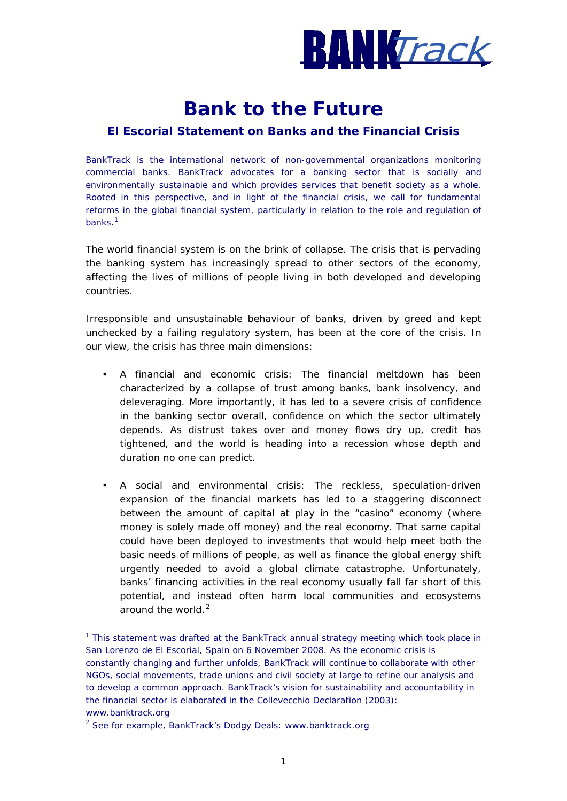

# **Bank to the Future**

## **El Escorial Statement on Banks and the Financial Crisis**

*BankTrack is the international network of non-governmental organizations monitoring commercial banks. BankTrack advocates for a banking sector that is socially and environmentally sustainable and which provides services that benefit society as a whole. Rooted in this perspective, and in light of the financial crisis, we call for fundamental reforms in the global financial system, particularly in relation to the role and regulation of banks.[1](#page-0-0)*

The world financial system is on the brink of collapse. The crisis that is pervading the banking system has increasingly spread to other sectors of the economy, affecting the lives of millions of people living in both developed and developing countries.

Irresponsible and unsustainable behaviour of banks, driven by greed and kept unchecked by a failing regulatory system, has been at the core of the crisis. In our view, the crisis has three main dimensions:

- *A financial and economic crisis*: The financial meltdown has been characterized by a collapse of trust among banks, bank insolvency, and deleveraging. More importantly, it has led to a severe crisis of confidence in the banking sector overall, confidence on which the sector ultimately depends. As distrust takes over and money flows dry up, credit has tightened, and the world is heading into a recession whose depth and duration no one can predict.
- *A social and environmental crisis*: The reckless, speculation-driven expansion of the financial markets has led to a staggering disconnect between the amount of capital at play in the "casino" economy (where money is solely made off money) and the real economy. That same capital could have been deployed to investments that would help meet both the basic needs of millions of people, as well as finance the global energy shift urgently needed to avoid a global climate catastrophe. Unfortunately, banks' financing activities in the real economy usually fall far short of this potential, and instead often harm local communities and ecosystems around the world. $<sup>2</sup>$  $<sup>2</sup>$  $<sup>2</sup>$ </sup>

<span id="page-0-0"></span>1 <sup>1</sup> This statement was drafted at the BankTrack annual strategy meeting which took place in San Lorenzo de El Escorial, Spain on 6 November 2008. As the economic crisis is constantly changing and further unfolds, BankTrack will continue to collaborate with other NGOs, social movements, trade unions and civil society at large to refine our analysis and to develop a common approach. BankTrack's vision for sustainability and accountability in the financial sector is elaborated in the Collevecchio Declaration (2003): www.banktrack.org

<span id="page-0-1"></span><sup>&</sup>lt;sup>2</sup> See for example, BankTrack's Dodgy Deals: www.banktrack.org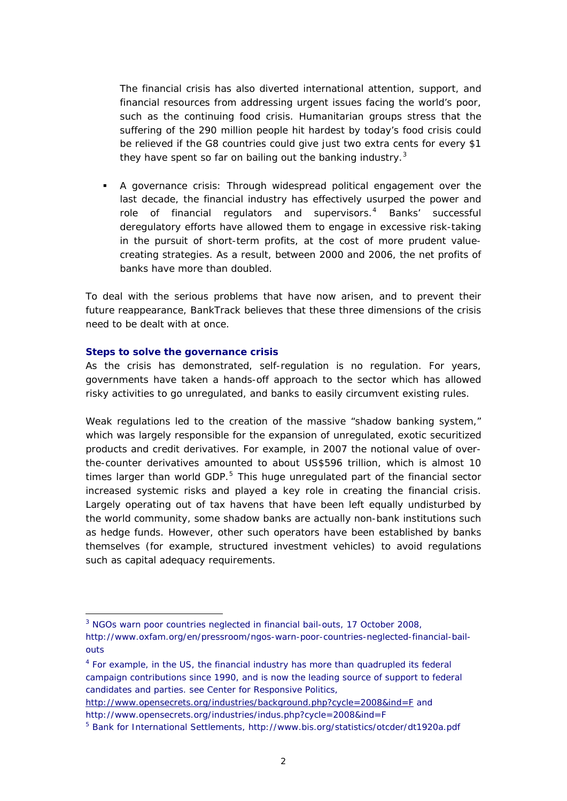The financial crisis has also diverted international attention, support, and financial resources from addressing urgent issues facing the world's poor, such as the continuing food crisis. Humanitarian groups stress that the suffering of the 290 million people hit hardest by today's food crisis could be relieved if the G8 countries could give just two extra cents for every \$1 they have spent so far on bailing out the banking industry.<sup>[3](#page-1-0)</sup>

 *A governance crisis*: Through widespread political engagement over the last decade, the financial industry has effectively usurped the power and role of financial regulators and supervisors.<sup>[4](#page-1-1)</sup> Banks' successful deregulatory efforts have allowed them to engage in excessive risk-taking in the pursuit of short-term profits, at the cost of more prudent valuecreating strategies. As a result, between 2000 and 2006, the net profits of banks have more than doubled.

To deal with the serious problems that have now arisen, and to prevent their future reappearance, BankTrack believes that these three dimensions of the crisis need to be dealt with at once.

### **Steps to solve the governance crisis**

1

As the crisis has demonstrated, self-regulation is no regulation. For years, governments have taken a hands-off approach to the sector which has allowed risky activities to go unregulated, and banks to easily circumvent existing rules.

Weak regulations led to the creation of the massive "shadow banking system," which was largely responsible for the expansion of unregulated, exotic securitized products and credit derivatives. For example, in 2007 the notional value of overthe-counter derivatives amounted to about US\$596 trillion, which is almost 10 times larger than world GDP. $5$  This huge unregulated part of the financial sector increased systemic risks and played a key role in creating the financial crisis. Largely operating out of tax havens that have been left equally undisturbed by the world community, some shadow banks are actually non-bank institutions such as hedge funds. However, other such operators have been established by banks themselves (for example, structured investment vehicles) to avoid regulations such as capital adequacy requirements.

<span id="page-1-0"></span><sup>&</sup>lt;sup>3</sup> NGOs warn poor countries neglected in financial bail-outs, 17 October 2008,

http://www.oxfam.org/en/pressroom/ngos-warn-poor-countries-neglected-financial-bailouts

<span id="page-1-1"></span><sup>4</sup> For example, in the US, the financial industry has more than quadrupled its federal campaign contributions since 1990, and is now the leading source of support to federal candidates and parties. see Center for Responsive Politics,

<http://www.opensecrets.org/industries/background.php?cycle=2008&ind=F> and http://www.opensecrets.org/industries/indus.php?cycle=2008&ind=F

<span id="page-1-2"></span><sup>&</sup>lt;sup>5</sup> Bank for International Settlements, http://www.bis.org/statistics/otcder/dt1920a.pdf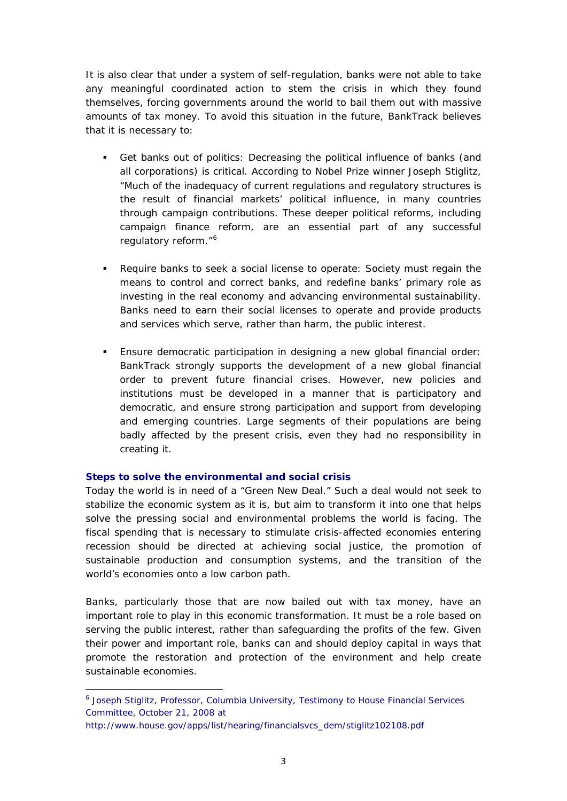It is also clear that under a system of self-regulation, banks were not able to take any meaningful coordinated action to stem the crisis in which they found themselves, forcing governments around the world to bail them out with massive amounts of tax money. To avoid this situation in the future, BankTrack believes that it is necessary to:

- *Get banks out of politics:* Decreasing the political influence of banks (and all corporations) is critical. According to Nobel Prize winner Joseph Stiglitz, "Much of the inadequacy of current regulations and regulatory structures is the result of financial markets' political influence, in many countries through campaign contributions. These deeper political reforms, including campaign finance reform, are an essential part of any successful regulatory reform."<sup>[6](#page-2-0)</sup>
- *Require banks to seek a social license to operate*: Society must regain the means to control and correct banks, and redefine banks' primary role as investing in the real economy and advancing environmental sustainability. Banks need to earn their social licenses to operate and provide products and services which serve, rather than harm, the public interest.
- *Ensure democratic participation in designing a new global financial order:* BankTrack strongly supports the development of a new global financial order to prevent future financial crises. However, new policies and institutions must be developed in a manner that is participatory and democratic, and ensure strong participation and support from developing and emerging countries. Large segments of their populations are being badly affected by the present crisis, even they had no responsibility in creating it.

### **Steps to solve the environmental and social crisis**

1

Today the world is in need of a "Green New Deal." Such a deal would not seek to stabilize the economic system as it is, but aim to transform it into one that helps solve the pressing social and environmental problems the world is facing. The fiscal spending that is necessary to stimulate crisis-affected economies entering recession should be directed at achieving social justice, the promotion of sustainable production and consumption systems, and the transition of the world's economies onto a low carbon path.

Banks, particularly those that are now bailed out with tax money, have an important role to play in this economic transformation. It must be a role based on serving the public interest, rather than safeguarding the profits of the few. Given their power and important role, banks can and should deploy capital in ways that promote the restoration and protection of the environment and help create sustainable economies.

<span id="page-2-0"></span><sup>&</sup>lt;sup>6</sup> Joseph Stiglitz, Professor, Columbia University, Testimony to House Financial Services Committee, October 21, 2008 at

http://www.house.gov/apps/list/hearing/financialsvcs\_dem/stiglitz102108.pdf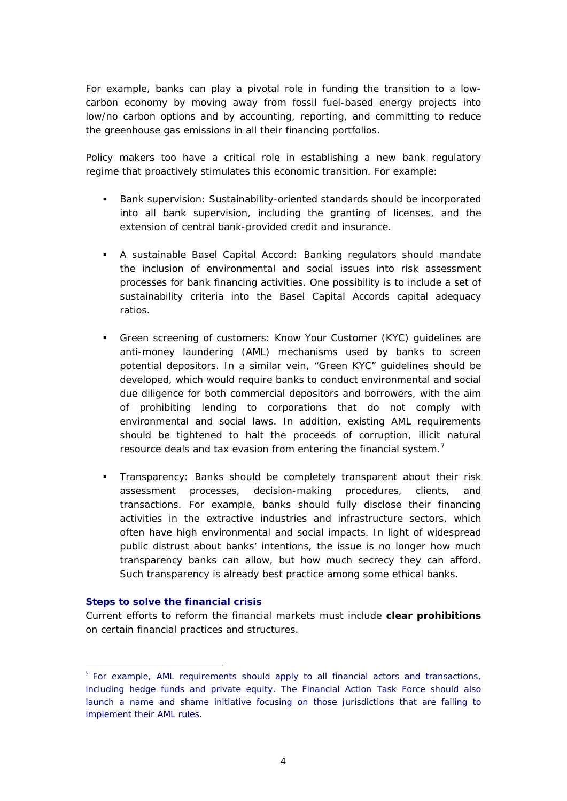For example, banks can play a pivotal role in funding the transition to a lowcarbon economy by moving away from fossil fuel-based energy projects into low/no carbon options and by accounting, reporting, and committing to reduce the greenhouse gas emissions in all their financing portfolios.

Policy makers too have a critical role in establishing a new bank regulatory regime that proactively stimulates this economic transition. For example:

- *Bank supervision:* Sustainability-oriented standards should be incorporated into all bank supervision, including the granting of licenses, and the extension of central bank-provided credit and insurance.
- *A sustainable Basel Capital Accord*: Banking regulators should mandate the inclusion of environmental and social issues into risk assessment processes for bank financing activities. One possibility is to include a set of sustainability criteria into the Basel Capital Accords capital adequacy ratios.
- *Green screening of customers:* Know Your Customer (KYC) guidelines are anti-money laundering (AML) mechanisms used by banks to screen potential depositors. In a similar vein, "Green KYC" guidelines should be developed, which would require banks to conduct environmental and social due diligence for both commercial depositors and borrowers, with the aim of prohibiting lending to corporations that do not comply with environmental and social laws. In addition, existing AML requirements should be tightened to halt the proceeds of corruption, illicit natural resource deals and tax evasion from entering the financial system.<sup>[7](#page-3-0)</sup>
- *Transparency:* Banks should be completely transparent about their risk assessment processes, decision-making procedures, clients, and transactions. For example, banks should fully disclose their financing activities in the extractive industries and infrastructure sectors, which often have high environmental and social impacts. In light of widespread public distrust about banks' intentions, the issue is no longer how much transparency banks can allow, but how much secrecy they can afford. Such transparency is already best practice among some ethical banks.

### **Steps to solve the financial crisis**

<u>.</u>

Current efforts to reform the financial markets must include **clear prohibitions** on certain financial practices and structures.

<span id="page-3-0"></span> $<sup>7</sup>$  For example, AML requirements should apply to all financial actors and transactions,</sup> including hedge funds and private equity. The Financial Action Task Force should also launch a name and shame initiative focusing on those jurisdictions that are failing to implement their AML rules.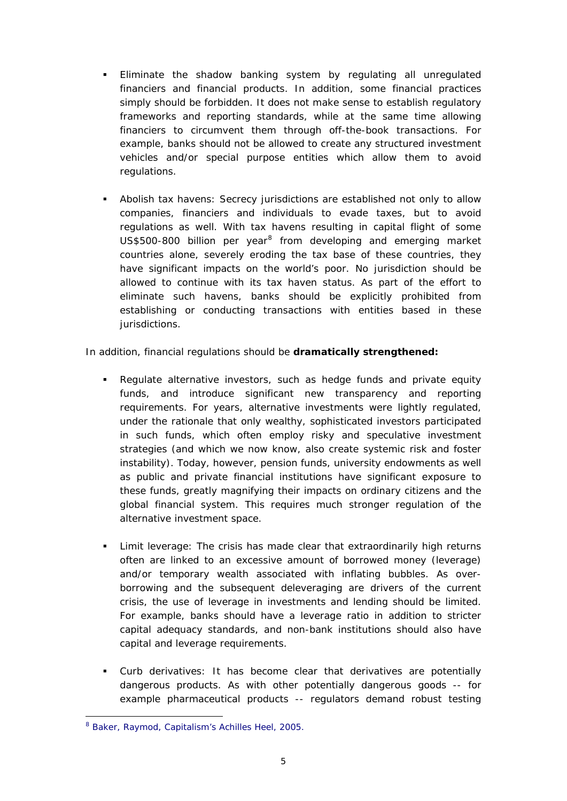- *Eliminate the shadow banking system* by regulating all unregulated financiers and financial products. In addition, some financial practices simply should be forbidden. It does not make sense to establish regulatory frameworks and reporting standards, while at the same time allowing financiers to circumvent them through off-the-book transactions. For example, banks should not be allowed to create any structured investment vehicles and/or special purpose entities which allow them to avoid regulations.
- *Abolish tax havens:* Secrecy jurisdictions are established not only to allow companies, financiers and individuals to evade taxes, but to avoid regulations as well. With tax havens resulting in capital flight of some  $US$500-800$  $US$500-800$  $US$500-800$  billion per year<sup>8</sup> from developing and emerging market countries alone, severely eroding the tax base of these countries, they have significant impacts on the world's poor. No jurisdiction should be allowed to continue with its tax haven status. As part of the effort to eliminate such havens, banks should be explicitly prohibited from establishing or conducting transactions with entities based in these jurisdictions.

In addition, financial regulations should be **dramatically strengthened:**

- *Regulate alternative investors,* such as hedge funds and private equity funds, and introduce significant new transparency and reporting requirements. For years, alternative investments were lightly regulated, under the rationale that only wealthy, sophisticated investors participated in such funds, which often employ risky and speculative investment strategies (and which we now know, also create systemic risk and foster instability). Today, however, pension funds, university endowments as well as public and private financial institutions have significant exposure to these funds, greatly magnifying their impacts on ordinary citizens and the global financial system. This requires much stronger regulation of the alternative investment space.
- *Limit leverage:* The crisis has made clear that extraordinarily high returns often are linked to an excessive amount of borrowed money (leverage) and/or temporary wealth associated with inflating bubbles. As overborrowing and the subsequent deleveraging are drivers of the current crisis, the use of leverage in investments and lending should be limited. For example, banks should have a leverage ratio in addition to stricter capital adequacy standards, and non-bank institutions should also have capital and leverage requirements.
- *Curb derivatives:* It has become clear that derivatives are potentially dangerous products. As with other potentially dangerous goods -- for example pharmaceutical products -- regulators demand robust testing

<span id="page-4-0"></span><sup>1</sup> 8 Baker, Raymod, *Capitalism's Achilles Heel,* 2005.